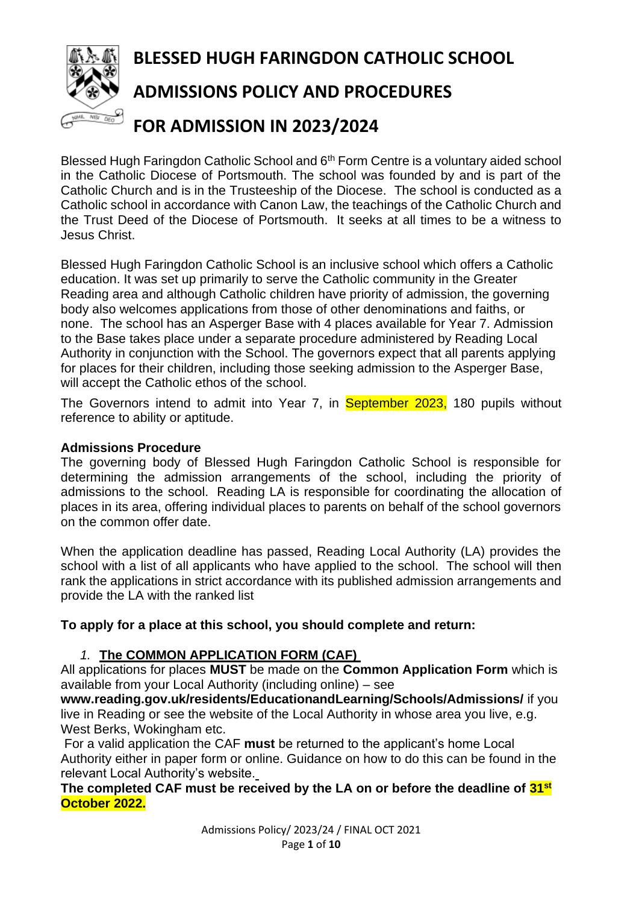

Blessed Hugh Faringdon Catholic School and 6<sup>th</sup> Form Centre is a voluntary aided school in the Catholic Diocese of Portsmouth. The school was founded by and is part of the Catholic Church and is in the Trusteeship of the Diocese. The school is conducted as a Catholic school in accordance with Canon Law, the teachings of the Catholic Church and the Trust Deed of the Diocese of Portsmouth. It seeks at all times to be a witness to Jesus Christ.

Blessed Hugh Faringdon Catholic School is an inclusive school which offers a Catholic education. It was set up primarily to serve the Catholic community in the Greater Reading area and although Catholic children have priority of admission, the governing body also welcomes applications from those of other denominations and faiths, or none. The school has an Asperger Base with 4 places available for Year 7. Admission to the Base takes place under a separate procedure administered by Reading Local Authority in conjunction with the School. The governors expect that all parents applying for places for their children, including those seeking admission to the Asperger Base, will accept the Catholic ethos of the school.

The Governors intend to admit into Year 7, in September 2023, 180 pupils without reference to ability or aptitude.

## **Admissions Procedure**

The governing body of Blessed Hugh Faringdon Catholic School is responsible for determining the admission arrangements of the school, including the priority of admissions to the school. Reading LA is responsible for coordinating the allocation of places in its area, offering individual places to parents on behalf of the school governors on the common offer date.

When the application deadline has passed, Reading Local Authority (LA) provides the school with a list of all applicants who have applied to the school. The school will then rank the applications in strict accordance with its published admission arrangements and provide the LA with the ranked list

# **To apply for a place at this school, you should complete and return:**

# *1.* **The COMMON APPLICATION FORM (CAF)**

All applications for places **MUST** be made on the **Common Application Form** which is available from your Local Authority (including online) – see

**www.reading.gov.uk/residents/EducationandLearning/Schools/Admissions/** if you live in Reading or see the website of the Local Authority in whose area you live, e.g. West Berks, Wokingham etc.

For a valid application the CAF **must** be returned to the applicant's home Local Authority either in paper form or online. Guidance on how to do this can be found in the relevant Local Authority's website.

# **The completed CAF must be received by the LA on or before the deadline of 31st October 2022.**

Admissions Policy/ 2023/24 / FINAL OCT 2021 Page **1** of **10**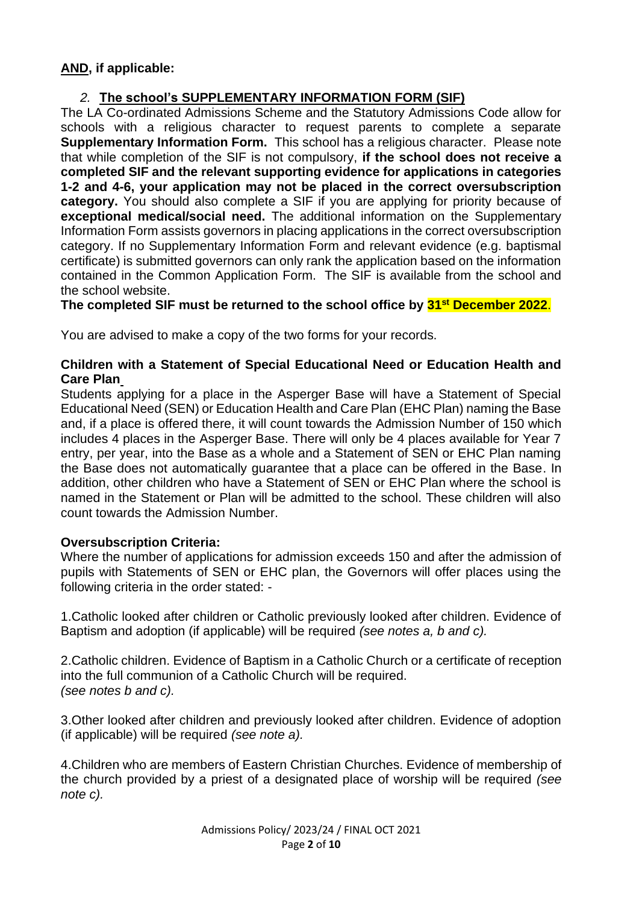# **AND, if applicable:**

# *2.* **The school's SUPPLEMENTARY INFORMATION FORM (SIF)**

The LA Co-ordinated Admissions Scheme and the Statutory Admissions Code allow for schools with a religious character to request parents to complete a separate **Supplementary Information Form.** This school has a religious character. Please note that while completion of the SIF is not compulsory, **if the school does not receive a completed SIF and the relevant supporting evidence for applications in categories 1-2 and 4-6, your application may not be placed in the correct oversubscription category.** You should also complete a SIF if you are applying for priority because of **exceptional medical/social need.** The additional information on the Supplementary Information Form assists governors in placing applications in the correct oversubscription category. If no Supplementary Information Form and relevant evidence (e.g. baptismal certificate) is submitted governors can only rank the application based on the information contained in the Common Application Form. The SIF is available from the school and the school website.

**The completed SIF must be returned to the school office by 31st December 2022**.

You are advised to make a copy of the two forms for your records.

#### **Children with a Statement of Special Educational Need or Education Health and Care Plan**

Students applying for a place in the Asperger Base will have a Statement of Special Educational Need (SEN) or Education Health and Care Plan (EHC Plan) naming the Base and, if a place is offered there, it will count towards the Admission Number of 150 which includes 4 places in the Asperger Base. There will only be 4 places available for Year 7 entry, per year, into the Base as a whole and a Statement of SEN or EHC Plan naming the Base does not automatically guarantee that a place can be offered in the Base. In addition, other children who have a Statement of SEN or EHC Plan where the school is named in the Statement or Plan will be admitted to the school. These children will also count towards the Admission Number.

#### **Oversubscription Criteria:**

Where the number of applications for admission exceeds 150 and after the admission of pupils with Statements of SEN or EHC plan, the Governors will offer places using the following criteria in the order stated: -

1.Catholic looked after children or Catholic previously looked after children. Evidence of Baptism and adoption (if applicable) will be required *(see notes a, b and c).*

2.Catholic children. Evidence of Baptism in a Catholic Church or a certificate of reception into the full communion of a Catholic Church will be required. *(see notes b and c).*

3.Other looked after children and previously looked after children. Evidence of adoption (if applicable) will be required *(see note a).*

4.Children who are members of Eastern Christian Churches. Evidence of membership of the church provided by a priest of a designated place of worship will be required *(see note c).*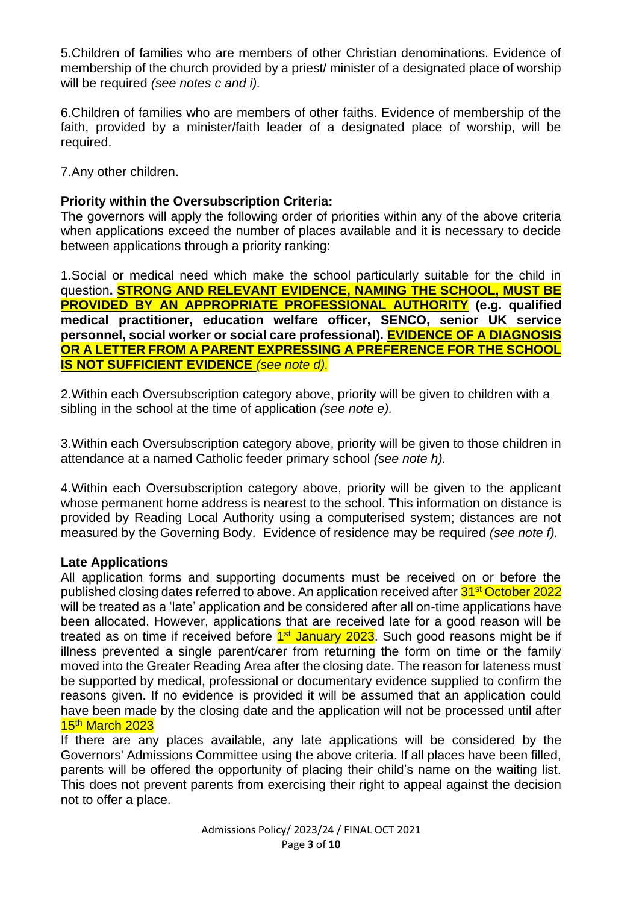5.Children of families who are members of other Christian denominations. Evidence of membership of the church provided by a priest/ minister of a designated place of worship will be required *(see notes c and i).*

6.Children of families who are members of other faiths. Evidence of membership of the faith, provided by a minister/faith leader of a designated place of worship, will be required.

7.Any other children.

# **Priority within the Oversubscription Criteria:**

The governors will apply the following order of priorities within any of the above criteria when applications exceed the number of places available and it is necessary to decide between applications through a priority ranking:

1.Social or medical need which make the school particularly suitable for the child in question**. STRONG AND RELEVANT EVIDENCE, NAMING THE SCHOOL, MUST BE PROVIDED BY AN APPROPRIATE PROFESSIONAL AUTHORITY (e.g. qualified medical practitioner, education welfare officer, SENCO, senior UK service personnel, social worker or social care professional). EVIDENCE OF A DIAGNOSIS OR A LETTER FROM A PARENT EXPRESSING A PREFERENCE FOR THE SCHOOL IS NOT SUFFICIENT EVIDENCE** *(see note d).*

2.Within each Oversubscription category above, priority will be given to children with a sibling in the school at the time of application *(see note e).*

3.Within each Oversubscription category above, priority will be given to those children in attendance at a named Catholic feeder primary school *(see note h).*

4.Within each Oversubscription category above, priority will be given to the applicant whose permanent home address is nearest to the school. This information on distance is provided by Reading Local Authority using a computerised system; distances are not measured by the Governing Body. Evidence of residence may be required *(see note f).*

#### **Late Applications**

All application forms and supporting documents must be received on or before the published closing dates referred to above. An application received after 31<sup>st</sup> October 2022 will be treated as a 'late' application and be considered after all on-time applications have been allocated. However, applications that are received late for a good reason will be treated as on time if received before **1st January 2023**. Such good reasons might be if illness prevented a single parent/carer from returning the form on time or the family moved into the Greater Reading Area after the closing date. The reason for lateness must be supported by medical, professional or documentary evidence supplied to confirm the reasons given. If no evidence is provided it will be assumed that an application could have been made by the closing date and the application will not be processed until after 15th March 2023

If there are any places available, any late applications will be considered by the Governors' Admissions Committee using the above criteria. If all places have been filled, parents will be offered the opportunity of placing their child's name on the waiting list. This does not prevent parents from exercising their right to appeal against the decision not to offer a place.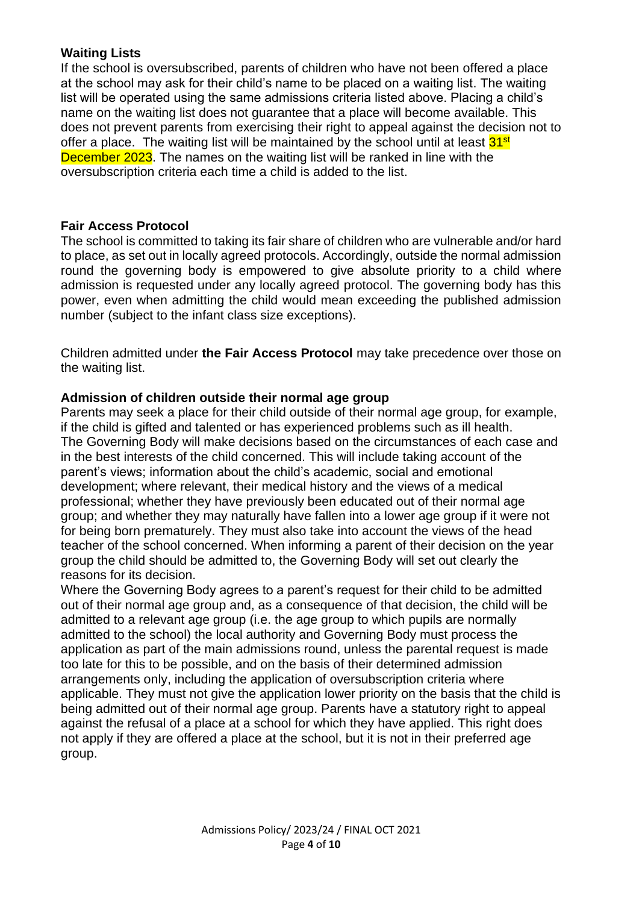#### **Waiting Lists**

If the school is oversubscribed, parents of children who have not been offered a place at the school may ask for their child's name to be placed on a waiting list. The waiting list will be operated using the same admissions criteria listed above. Placing a child's name on the waiting list does not guarantee that a place will become available. This does not prevent parents from exercising their right to appeal against the decision not to offer a place. The waiting list will be maintained by the school until at least 31<sup>st</sup> December 2023. The names on the waiting list will be ranked in line with the oversubscription criteria each time a child is added to the list.

# **Fair Access Protocol**

The school is committed to taking its fair share of children who are vulnerable and/or hard to place, as set out in locally agreed protocols. Accordingly, outside the normal admission round the governing body is empowered to give absolute priority to a child where admission is requested under any locally agreed protocol. The governing body has this power, even when admitting the child would mean exceeding the published admission number (subject to the infant class size exceptions).

Children admitted under **the Fair Access Protocol** may take precedence over those on the waiting list.

## **Admission of children outside their normal age group**

Parents may seek a place for their child outside of their normal age group, for example, if the child is gifted and talented or has experienced problems such as ill health. The Governing Body will make decisions based on the circumstances of each case and in the best interests of the child concerned. This will include taking account of the parent's views; information about the child's academic, social and emotional development; where relevant, their medical history and the views of a medical professional; whether they have previously been educated out of their normal age group; and whether they may naturally have fallen into a lower age group if it were not for being born prematurely. They must also take into account the views of the head teacher of the school concerned. When informing a parent of their decision on the year group the child should be admitted to, the Governing Body will set out clearly the reasons for its decision.

Where the Governing Body agrees to a parent's request for their child to be admitted out of their normal age group and, as a consequence of that decision, the child will be admitted to a relevant age group (i.e. the age group to which pupils are normally admitted to the school) the local authority and Governing Body must process the application as part of the main admissions round, unless the parental request is made too late for this to be possible, and on the basis of their determined admission arrangements only, including the application of oversubscription criteria where applicable. They must not give the application lower priority on the basis that the child is being admitted out of their normal age group. Parents have a statutory right to appeal against the refusal of a place at a school for which they have applied. This right does not apply if they are offered a place at the school, but it is not in their preferred age group.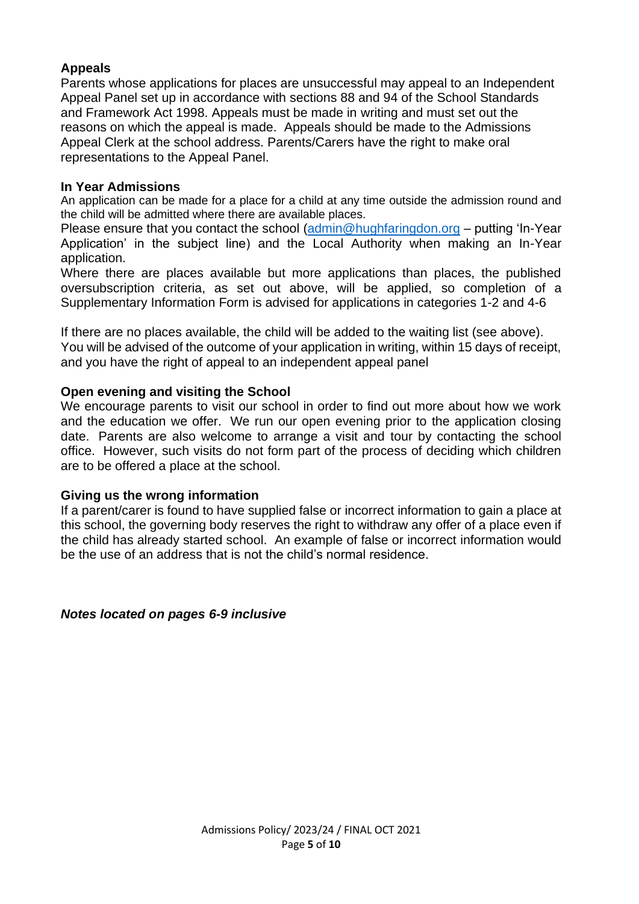# **Appeals**

Parents whose applications for places are unsuccessful may appeal to an Independent Appeal Panel set up in accordance with sections 88 and 94 of the School Standards and Framework Act 1998. Appeals must be made in writing and must set out the reasons on which the appeal is made. Appeals should be made to the Admissions Appeal Clerk at the school address. Parents/Carers have the right to make oral representations to the Appeal Panel.

#### **In Year Admissions**

An application can be made for a place for a child at any time outside the admission round and the child will be admitted where there are available places.

Please ensure that you contact the school [\(admin@hughfaringdon.org](mailto:admin@hughfaringdon.org) - putting 'In-Year Application' in the subject line) and the Local Authority when making an In-Year application.

Where there are places available but more applications than places, the published oversubscription criteria, as set out above, will be applied, so completion of a Supplementary Information Form is advised for applications in categories 1-2 and 4-6

If there are no places available, the child will be added to the waiting list (see above). You will be advised of the outcome of your application in writing, within 15 days of receipt, and you have the right of appeal to an independent appeal panel

#### **Open evening and visiting the School**

We encourage parents to visit our school in order to find out more about how we work and the education we offer. We run our open evening prior to the application closing date. Parents are also welcome to arrange a visit and tour by contacting the school office. However, such visits do not form part of the process of deciding which children are to be offered a place at the school.

#### **Giving us the wrong information**

If a parent/carer is found to have supplied false or incorrect information to gain a place at this school, the governing body reserves the right to withdraw any offer of a place even if the child has already started school. An example of false or incorrect information would be the use of an address that is not the child's normal residence.

*Notes located on pages 6-9 inclusive*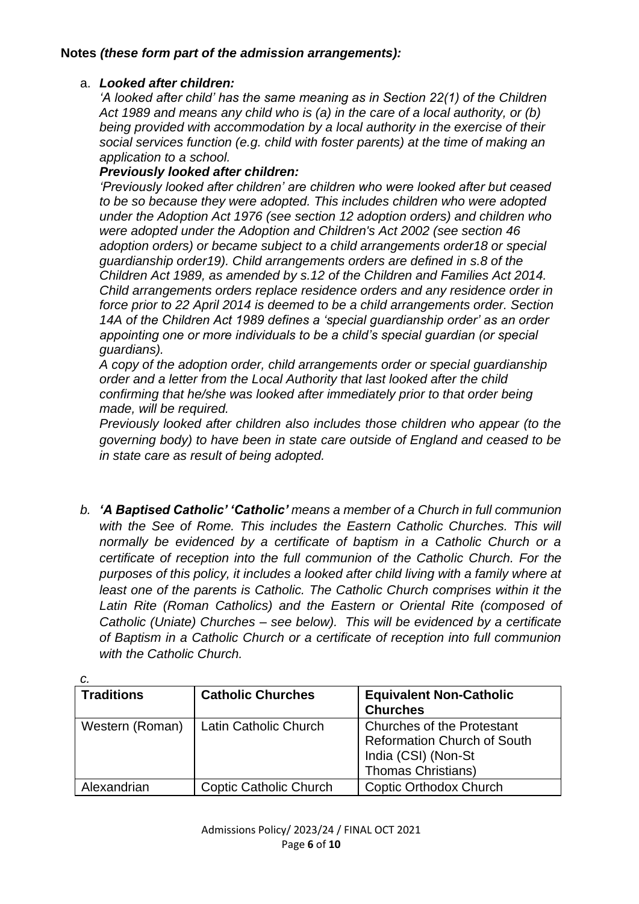## **Notes** *(these form part of the admission arrangements):*

## a. *Looked after children:*

*'A looked after child' has the same meaning as in Section 22(1) of the Children Act 1989 and means any child who is (a) in the care of a local authority, or (b) being provided with accommodation by a local authority in the exercise of their social services function (e.g. child with foster parents) at the time of making an application to a school.*

# *Previously looked after children:*

*'Previously looked after children' are children who were looked after but ceased to be so because they were adopted. This includes children who were adopted under the Adoption Act 1976 (see section 12 adoption orders) and children who were adopted under the Adoption and Children's Act 2002 (see section 46 adoption orders) or became subject to a child arrangements order18 or special guardianship order19). Child arrangements orders are defined in s.8 of the Children Act 1989, as amended by s.12 of the Children and Families Act 2014. Child arrangements orders replace residence orders and any residence order in force prior to 22 April 2014 is deemed to be a child arrangements order. Section 14A of the Children Act 1989 defines a 'special guardianship order' as an order appointing one or more individuals to be a child's special guardian (or special guardians).*

*A copy of the adoption order, child arrangements order or special guardianship order and a letter from the Local Authority that last looked after the child confirming that he/she was looked after immediately prior to that order being made, will be required.*

*Previously looked after children also includes those children who appear (to the governing body) to have been in state care outside of England and ceased to be in state care as result of being adopted.*

*b. 'A Baptised Catholic' 'Catholic' means a member of a Church in full communion with the See of Rome. This includes the Eastern Catholic Churches. This will normally be evidenced by a certificate of baptism in a Catholic Church or a certificate of reception into the full communion of the Catholic Church. For the purposes of this policy, it includes a looked after child living with a family where at*  least one of the parents is Catholic. The Catholic Church comprises within it the *Latin Rite (Roman Catholics) and the Eastern or Oriental Rite (composed of Catholic (Uniate) Churches – see below). This will be evidenced by a certificate of Baptism in a Catholic Church or a certificate of reception into full communion with the Catholic Church.*

| C.                |                               |                                                                                                                      |
|-------------------|-------------------------------|----------------------------------------------------------------------------------------------------------------------|
| <b>Traditions</b> | <b>Catholic Churches</b>      | <b>Equivalent Non-Catholic</b><br><b>Churches</b>                                                                    |
| Western (Roman)   | Latin Catholic Church         | <b>Churches of the Protestant</b><br><b>Reformation Church of South</b><br>India (CSI) (Non-St<br>Thomas Christians) |
| Alexandrian       | <b>Coptic Catholic Church</b> | <b>Coptic Orthodox Church</b>                                                                                        |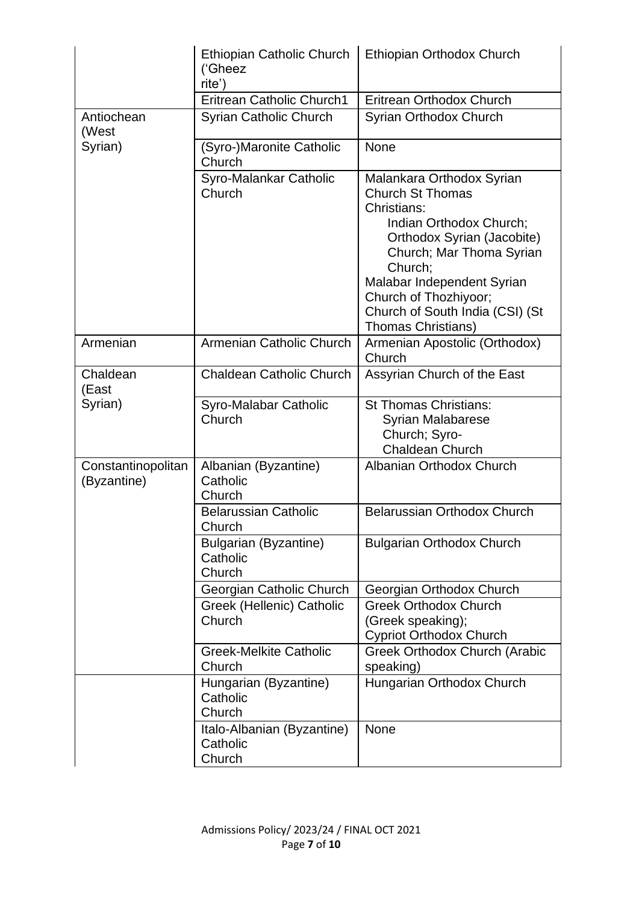|                                   | <b>Ethiopian Catholic Church</b><br>('Gheez<br>rite') | Ethiopian Orthodox Church                                                                                                                                                                                                                                                                  |
|-----------------------------------|-------------------------------------------------------|--------------------------------------------------------------------------------------------------------------------------------------------------------------------------------------------------------------------------------------------------------------------------------------------|
|                                   | <b>Eritrean Catholic Church1</b>                      | Eritrean Orthodox Church                                                                                                                                                                                                                                                                   |
| Antiochean<br>(West<br>Syrian)    | <b>Syrian Catholic Church</b>                         | Syrian Orthodox Church                                                                                                                                                                                                                                                                     |
|                                   | (Syro-)Maronite Catholic<br>Church                    | None                                                                                                                                                                                                                                                                                       |
|                                   | Syro-Malankar Catholic<br>Church                      | Malankara Orthodox Syrian<br><b>Church St Thomas</b><br>Christians:<br>Indian Orthodox Church;<br>Orthodox Syrian (Jacobite)<br>Church; Mar Thoma Syrian<br>Church:<br>Malabar Independent Syrian<br>Church of Thozhiyoor;<br>Church of South India (CSI) (St<br><b>Thomas Christians)</b> |
| Armenian                          | Armenian Catholic Church                              | Armenian Apostolic (Orthodox)<br>Church                                                                                                                                                                                                                                                    |
| Chaldean<br>(East<br>Syrian)      | <b>Chaldean Catholic Church</b>                       | Assyrian Church of the East                                                                                                                                                                                                                                                                |
|                                   | Syro-Malabar Catholic<br>Church                       | <b>St Thomas Christians:</b><br><b>Syrian Malabarese</b><br>Church; Syro-<br><b>Chaldean Church</b>                                                                                                                                                                                        |
| Constantinopolitan<br>(Byzantine) | Albanian (Byzantine)<br>Catholic<br>Church            | Albanian Orthodox Church                                                                                                                                                                                                                                                                   |
|                                   | <b>Belarussian Catholic</b><br>Church                 | Belarussian Orthodox Church                                                                                                                                                                                                                                                                |
|                                   | <b>Bulgarian (Byzantine)</b><br>Catholic<br>Church    | <b>Bulgarian Orthodox Church</b>                                                                                                                                                                                                                                                           |
|                                   | Georgian Catholic Church                              | Georgian Orthodox Church                                                                                                                                                                                                                                                                   |
|                                   | Greek (Hellenic) Catholic<br>Church                   | <b>Greek Orthodox Church</b><br>(Greek speaking);<br><b>Cypriot Orthodox Church</b>                                                                                                                                                                                                        |
|                                   | <b>Greek-Melkite Catholic</b><br>Church               | Greek Orthodox Church (Arabic<br>speaking)                                                                                                                                                                                                                                                 |
|                                   | Hungarian (Byzantine)<br>Catholic<br>Church           | Hungarian Orthodox Church                                                                                                                                                                                                                                                                  |
|                                   | Italo-Albanian (Byzantine)<br>Catholic<br>Church      | None                                                                                                                                                                                                                                                                                       |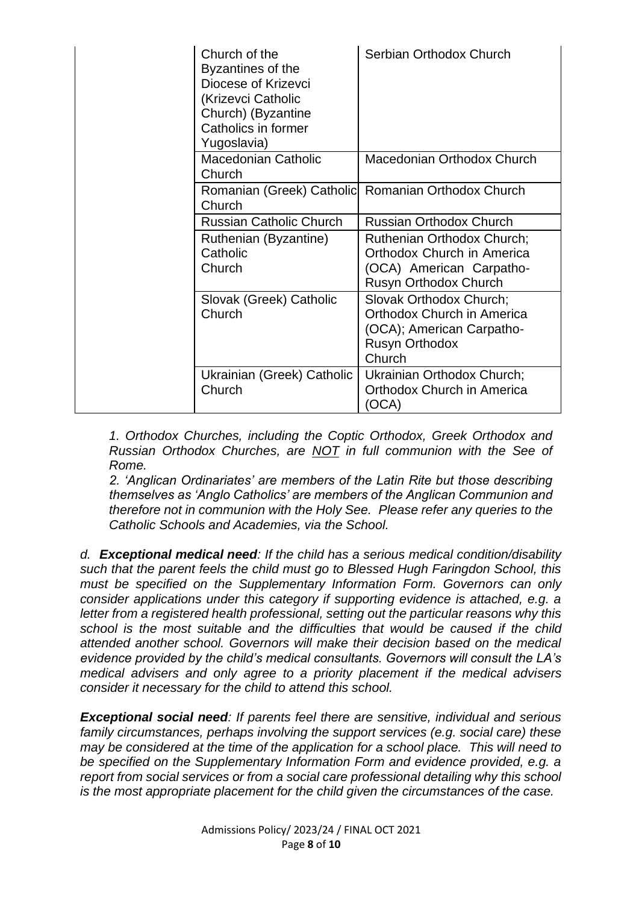| Church of the<br>Byzantines of the<br>Diocese of Krizevci<br>(Krizevci Catholic<br>Church) (Byzantine<br>Catholics in former<br>Yugoslavia) | Serbian Orthodox Church                                                                                               |
|---------------------------------------------------------------------------------------------------------------------------------------------|-----------------------------------------------------------------------------------------------------------------------|
| <b>Macedonian Catholic</b><br>Church                                                                                                        | Macedonian Orthodox Church                                                                                            |
| Church                                                                                                                                      | Romanian (Greek) Catholic Romanian Orthodox Church                                                                    |
| <b>Russian Catholic Church</b>                                                                                                              | <b>Russian Orthodox Church</b>                                                                                        |
| Ruthenian (Byzantine)<br>Catholic<br>Church                                                                                                 | Ruthenian Orthodox Church;<br>Orthodox Church in America<br>(OCA) American Carpatho-<br>Rusyn Orthodox Church         |
| Slovak (Greek) Catholic<br>Church                                                                                                           | Slovak Orthodox Church;<br>Orthodox Church in America<br>(OCA); American Carpatho-<br><b>Rusyn Orthodox</b><br>Church |
| Ukrainian (Greek) Catholic<br>Church                                                                                                        | Ukrainian Orthodox Church;<br>Orthodox Church in America<br>(OCA)                                                     |

*1. Orthodox Churches, including the Coptic Orthodox, Greek Orthodox and Russian Orthodox Churches, are NOT in full communion with the See of Rome.* 

*2. 'Anglican Ordinariates' are members of the Latin Rite but those describing themselves as 'Anglo Catholics' are members of the Anglican Communion and therefore not in communion with the Holy See. Please refer any queries to the Catholic Schools and Academies, via the School.*

*d. Exceptional medical need: If the child has a serious medical condition/disability such that the parent feels the child must go to Blessed Hugh Faringdon School, this must be specified on the Supplementary Information Form. Governors can only consider applications under this category if supporting evidence is attached, e.g. a letter from a registered health professional, setting out the particular reasons why this school is the most suitable and the difficulties that would be caused if the child attended another school. Governors will make their decision based on the medical evidence provided by the child's medical consultants. Governors will consult the LA's medical advisers and only agree to a priority placement if the medical advisers consider it necessary for the child to attend this school.*

*Exceptional social need: If parents feel there are sensitive, individual and serious family circumstances, perhaps involving the support services (e.g. social care) these may be considered at the time of the application for a school place. This will need to be specified on the Supplementary Information Form and evidence provided, e.g. a report from social services or from a social care professional detailing why this school is the most appropriate placement for the child given the circumstances of the case.*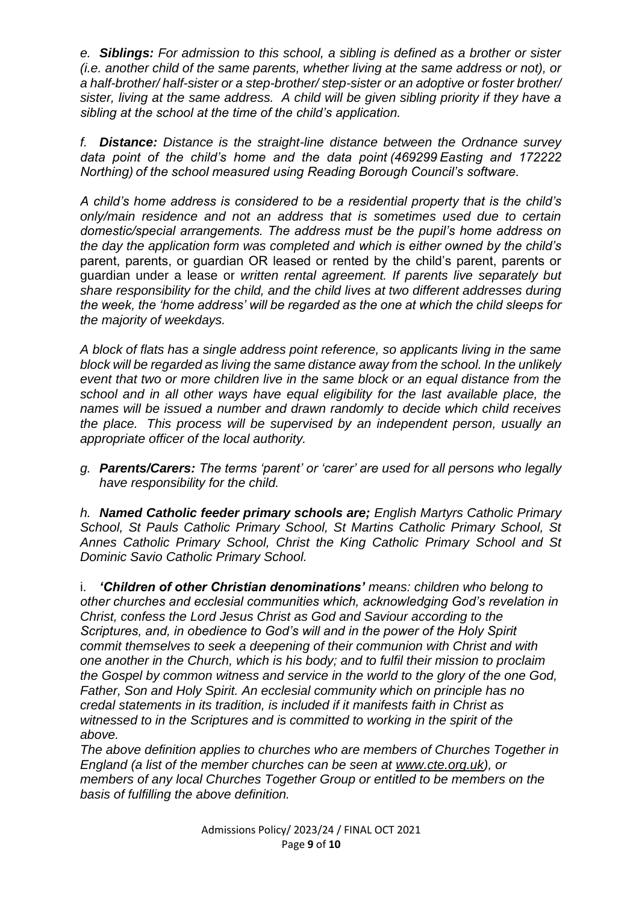*e. Siblings: For admission to this school, a sibling is defined as a brother or sister (i.e. another child of the same parents, whether living at the same address or not), or a half-brother/ half-sister or a step-brother/ step-sister or an adoptive or foster brother/ sister, living at the same address. A child will be given sibling priority if they have a sibling at the school at the time of the child's application.*

*f. Distance: Distance is the straight-line distance between the Ordnance survey data point of the child's home and the data point (469299 Easting and 172222 Northing) of the school measured using Reading Borough Council's software.*

*A child's home address is considered to be a residential property that is the child's only/main residence and not an address that is sometimes used due to certain domestic/special arrangements. The address must be the pupil's home address on the day the application form was completed and which is either owned by the child's*  parent, parents, or guardian OR leased or rented by the child's parent, parents or guardian under a lease or *written rental agreement. If parents live separately but share responsibility for the child, and the child lives at two different addresses during the week, the 'home address' will be regarded as the one at which the child sleeps for the majority of weekdays.* 

*A block of flats has a single address point reference, so applicants living in the same block will be regarded as living the same distance away from the school. In the unlikely event that two or more children live in the same block or an equal distance from the school and in all other ways have equal eligibility for the last available place, the names will be issued a number and drawn randomly to decide which child receives the place. This process will be supervised by an independent person, usually an appropriate officer of the local authority.*

*g. Parents/Carers: The terms 'parent' or 'carer' are used for all persons who legally have responsibility for the child.*

*h. Named Catholic feeder primary schools are; English Martyrs Catholic Primary School, St Pauls Catholic Primary School, St Martins Catholic Primary School, St Annes Catholic Primary School, Christ the King Catholic Primary School and St Dominic Savio Catholic Primary School.*

i. *'Children of other Christian denominations' means: children who belong to other churches and ecclesial communities which, acknowledging God's revelation in Christ, confess the Lord Jesus Christ as God and Saviour according to the Scriptures, and, in obedience to God's will and in the power of the Holy Spirit commit themselves to seek a deepening of their communion with Christ and with one another in the Church, which is his body; and to fulfil their mission to proclaim the Gospel by common witness and service in the world to the glory of the one God, Father, Son and Holy Spirit. An ecclesial community which on principle has no credal statements in its tradition, is included if it manifests faith in Christ as witnessed to in the Scriptures and is committed to working in the spirit of the above.*

*The above definition applies to churches who are members of Churches Together in England (a list of the member churches can be seen at [www.cte.org.uk\)](http://www.cte.org.uk/), or members of any local Churches Together Group or entitled to be members on the basis of fulfilling the above definition.*